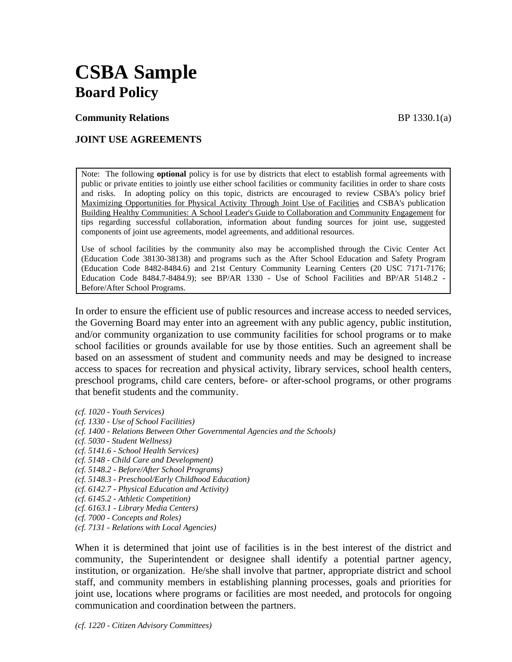# **CSBA Sample Board Policy**

**Community Relations BP** 1330.1(a)

# **JOINT USE AGREEMENTS**

Note: The following **optional** policy is for use by districts that elect to establish formal agreements with public or private entities to jointly use either school facilities or community facilities in order to share costs and risks. In adopting policy on this topic, districts are encouraged to review CSBA's policy brief Maximizing Opportunities for Physical Activity Through Joint Use of Facilities and CSBA's publication Building Healthy Communities: A School Leader's Guide to Collaboration and Community Engagement for tips regarding successful collaboration, information about funding sources for joint use, suggested components of joint use agreements, model agreements, and additional resources.

Use of school facilities by the community also may be accomplished through the Civic Center Act (Education Code 38130-38138) and programs such as the After School Education and Safety Program (Education Code 8482-8484.6) and 21st Century Community Learning Centers (20 USC 7171-7176; Education Code 8484.7-8484.9); see BP/AR 1330 - Use of School Facilities and BP/AR 5148.2 - Before/After School Programs.

In order to ensure the efficient use of public resources and increase access to needed services, the Governing Board may enter into an agreement with any public agency, public institution, and/or community organization to use community facilities for school programs or to make school facilities or grounds available for use by those entities. Such an agreement shall be based on an assessment of student and community needs and may be designed to increase access to spaces for recreation and physical activity, library services, school health centers, preschool programs, child care centers, before- or after-school programs, or other programs that benefit students and the community.

- *(cf. 1020 Youth Services)*
- *(cf. 1330 Use of School Facilities)*
- *(cf. 1400 Relations Between Other Governmental Agencies and the Schools)*
- *(cf. 5030 Student Wellness)*
- *(cf. 5141.6 School Health Services)*
- *(cf. 5148 Child Care and Development)*
- *(cf. 5148.2 Before/After School Programs)*
- *(cf. 5148.3 Preschool/Early Childhood Education)*
- *(cf. 6142.7 Physical Education and Activity)*
- *(cf. 6145.2 Athletic Competition)*
- *(cf. 6163.1 Library Media Centers)*
- *(cf. 7000 Concepts and Roles)*
- *(cf. 7131 Relations with Local Agencies)*

When it is determined that joint use of facilities is in the best interest of the district and community, the Superintendent or designee shall identify a potential partner agency, institution, or organization. He/she shall involve that partner, appropriate district and school staff, and community members in establishing planning processes, goals and priorities for joint use, locations where programs or facilities are most needed, and protocols for ongoing communication and coordination between the partners.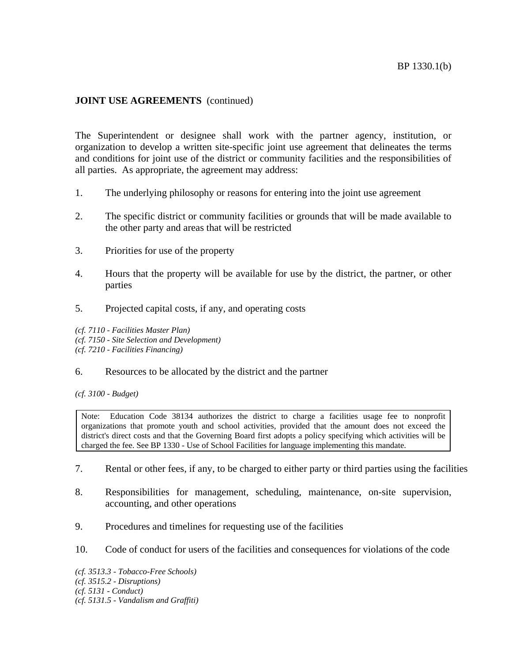The Superintendent or designee shall work with the partner agency, institution, or organization to develop a written site-specific joint use agreement that delineates the terms and conditions for joint use of the district or community facilities and the responsibilities of all parties. As appropriate, the agreement may address:

- 1. The underlying philosophy or reasons for entering into the joint use agreement
- 2. The specific district or community facilities or grounds that will be made available to the other party and areas that will be restricted
- 3. Priorities for use of the property
- 4. Hours that the property will be available for use by the district, the partner, or other parties
- 5. Projected capital costs, if any, and operating costs

*(cf. 7110 - Facilities Master Plan) (cf. 7150 - Site Selection and Development) (cf. 7210 - Facilities Financing)* 

## 6. Resources to be allocated by the district and the partner

*(cf. 3100 - Budget)* 

Note: Education Code 38134 authorizes the district to charge a facilities usage fee to nonprofit organizations that promote youth and school activities, provided that the amount does not exceed the district's direct costs and that the Governing Board first adopts a policy specifying which activities will be charged the fee. See BP 1330 - Use of School Facilities for language implementing this mandate.

- 7. Rental or other fees, if any, to be charged to either party or third parties using the facilities
- 8. Responsibilities for management, scheduling, maintenance, on-site supervision, accounting, and other operations
- 9. Procedures and timelines for requesting use of the facilities
- 10. Code of conduct for users of the facilities and consequences for violations of the code

*(cf. 3513.3 - Tobacco-Free Schools) (cf. 3515.2 - Disruptions) (cf. 5131 - Conduct) (cf. 5131.5 - Vandalism and Graffiti)*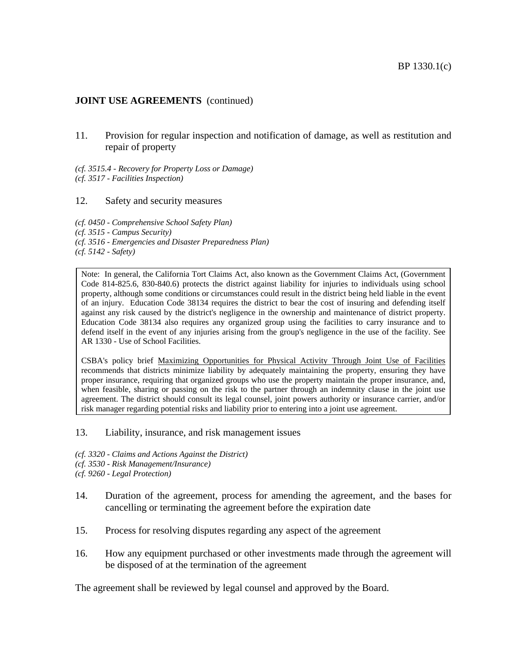11. Provision for regular inspection and notification of damage, as well as restitution and repair of property

*(cf. 3515.4 - Recovery for Property Loss or Damage) (cf. 3517 - Facilities Inspection)* 

### 12. Safety and security measures

*(cf. 0450 - Comprehensive School Safety Plan) (cf. 3515 - Campus Security) (cf. 3516 - Emergencies and Disaster Preparedness Plan) (cf. 5142 - Safety)* 

Note: In general, the California Tort Claims Act, also known as the Government Claims Act, (Government Code 814-825.6, 830-840.6) protects the district against liability for injuries to individuals using school property, although some conditions or circumstances could result in the district being held liable in the event of an injury. Education Code 38134 requires the district to bear the cost of insuring and defending itself against any risk caused by the district's negligence in the ownership and maintenance of district property. Education Code 38134 also requires any organized group using the facilities to carry insurance and to defend itself in the event of any injuries arising from the group's negligence in the use of the facility. See AR 1330 - Use of School Facilities.

CSBA's policy brief Maximizing Opportunities for Physical Activity Through Joint Use of Facilities recommends that districts minimize liability by adequately maintaining the property, ensuring they have proper insurance, requiring that organized groups who use the property maintain the proper insurance, and, when feasible, sharing or passing on the risk to the partner through an indemnity clause in the joint use agreement. The district should consult its legal counsel, joint powers authority or insurance carrier, and/or risk manager regarding potential risks and liability prior to entering into a joint use agreement.

#### 13. Liability, insurance, and risk management issues

*(cf. 3320 - Claims and Actions Against the District)* 

*(cf. 3530 - Risk Management/Insurance)* 

*(cf. 9260 - Legal Protection)* 

- 14. Duration of the agreement, process for amending the agreement, and the bases for cancelling or terminating the agreement before the expiration date
- 15. Process for resolving disputes regarding any aspect of the agreement
- 16. How any equipment purchased or other investments made through the agreement will be disposed of at the termination of the agreement

The agreement shall be reviewed by legal counsel and approved by the Board.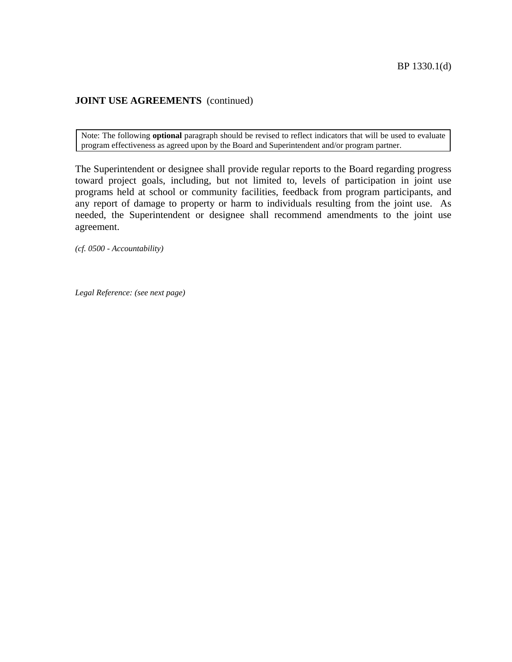Note: The following **optional** paragraph should be revised to reflect indicators that will be used to evaluate program effectiveness as agreed upon by the Board and Superintendent and/or program partner.

The Superintendent or designee shall provide regular reports to the Board regarding progress toward project goals, including, but not limited to, levels of participation in joint use programs held at school or community facilities, feedback from program participants, and any report of damage to property or harm to individuals resulting from the joint use. As needed, the Superintendent or designee shall recommend amendments to the joint use agreement.

*(cf. 0500 - Accountability)* 

*Legal Reference: (see next page)*